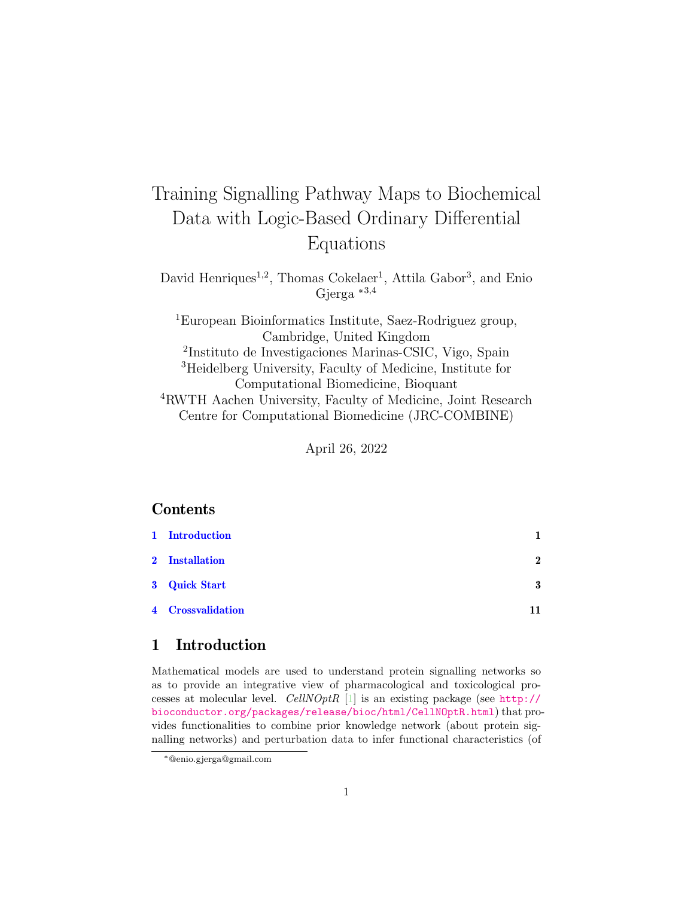# Training Signalling Pathway Maps to Biochemical Data with Logic-Based Ordinary Differential Equations

David Henriques<sup>1,2</sup>, Thomas Cokelaer<sup>1</sup>, Attila Gabor<sup>3</sup>, and Enio Gjerga \*3,4

<sup>1</sup>European Bioinformatics Institute, Saez-Rodriguez group, Cambridge, United Kingdom 2 Instituto de Investigaciones Marinas-CSIC, Vigo, Spain <sup>3</sup>Heidelberg University, Faculty of Medicine, Institute for Computational Biomedicine, Bioquant <sup>4</sup>RWTH Aachen University, Faculty of Medicine, Joint Research Centre for Computational Biomedicine (JRC-COMBINE)

April 26, 2022

# Contents

| 1 Introduction    | 1                |
|-------------------|------------------|
| 2 Installation    | $\boldsymbol{2}$ |
| 3 Quick Start     | 3                |
| 4 Crossvalidation |                  |

# <span id="page-0-0"></span>1 Introduction

Mathematical models are used to understand protein signalling networks so as to provide an integrative view of pharmacological and toxicological processes at molecular level. CellNOptR [\[1\]](#page-12-0) is an existing package (see [http://](http://bioconductor.org/packages/release/bioc/html/CellNOptR.html) [bioconductor.org/packages/release/bioc/html/CellNOptR.html](http://bioconductor.org/packages/release/bioc/html/CellNOptR.html)) that provides functionalities to combine prior knowledge network (about protein signalling networks) and perturbation data to infer functional characteristics (of

<sup>\*</sup>@enio.gjerga@gmail.com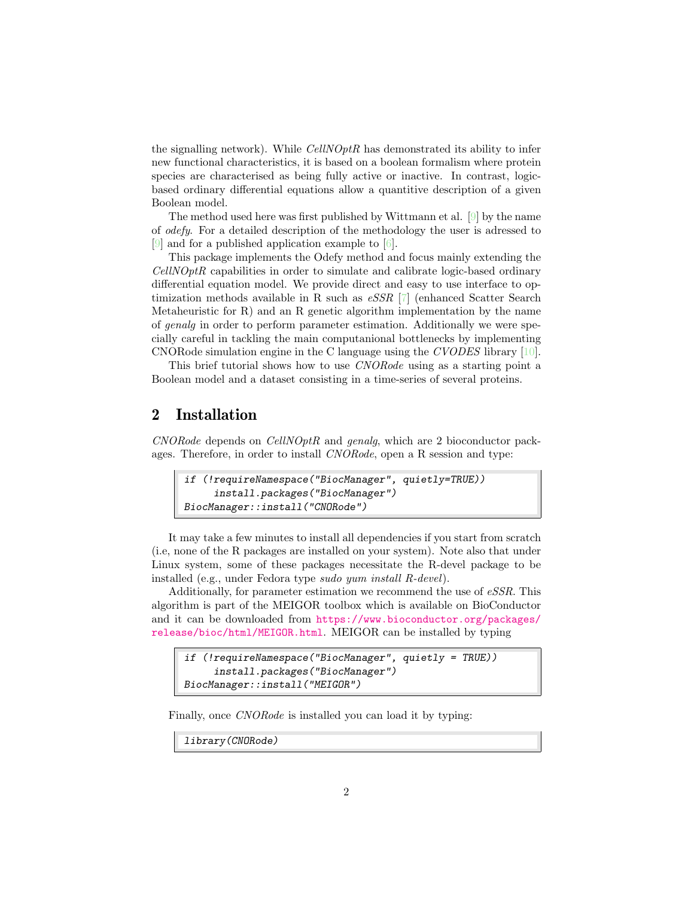the signalling network). While  $Cell NOptR$  has demonstrated its ability to infer new functional characteristics, it is based on a boolean formalism where protein species are characterised as being fully active or inactive. In contrast, logicbased ordinary differential equations allow a quantitive description of a given Boolean model.

The method used here was first published by Wittmann et al. [\[9\]](#page-12-1) by the name of odefy. For a detailed description of the methodology the user is adressed to [\[9\]](#page-12-1) and for a published application example to [\[6\]](#page-12-2).

This package implements the Odefy method and focus mainly extending the CellNOptR capabilities in order to simulate and calibrate logic-based ordinary differential equation model. We provide direct and easy to use interface to optimization methods available in R such as eSSR [\[7\]](#page-12-3) (enhanced Scatter Search Metaheuristic for R) and an R genetic algorithm implementation by the name of genalg in order to perform parameter estimation. Additionally we were specially careful in tackling the main computanional bottlenecks by implementing CNORode simulation engine in the C language using the CVODES library [\[10\]](#page-12-4).

This brief tutorial shows how to use *CNORode* using as a starting point a Boolean model and a dataset consisting in a time-series of several proteins.

#### <span id="page-1-0"></span>2 Installation

CNORode depends on CellNOptR and genalg, which are 2 bioconductor packages. Therefore, in order to install CNORode, open a R session and type:

```
if (!requireNamespace("BiocManager", quietly=TRUE))
     install.packages("BiocManager")
BiocManager::install("CNORode")
```
It may take a few minutes to install all dependencies if you start from scratch (i.e, none of the R packages are installed on your system). Note also that under Linux system, some of these packages necessitate the R-devel package to be installed (e.g., under Fedora type sudo yum install R-devel).

Additionally, for parameter estimation we recommend the use of eSSR. This algorithm is part of the MEIGOR toolbox which is available on BioConductor and it can be downloaded from [https://www.bioconductor.org/packages/](https://www.bioconductor.org/packages/release/bioc/html/MEIGOR.html) [release/bioc/html/MEIGOR.html](https://www.bioconductor.org/packages/release/bioc/html/MEIGOR.html). MEIGOR can be installed by typing

```
if (!requireNamespace("BiocManager", quietly = TRUE))
     install.packages("BiocManager")
BiocManager::install("MEIGOR")
```
Finally, once CNORode is installed you can load it by typing:

library(CNORode)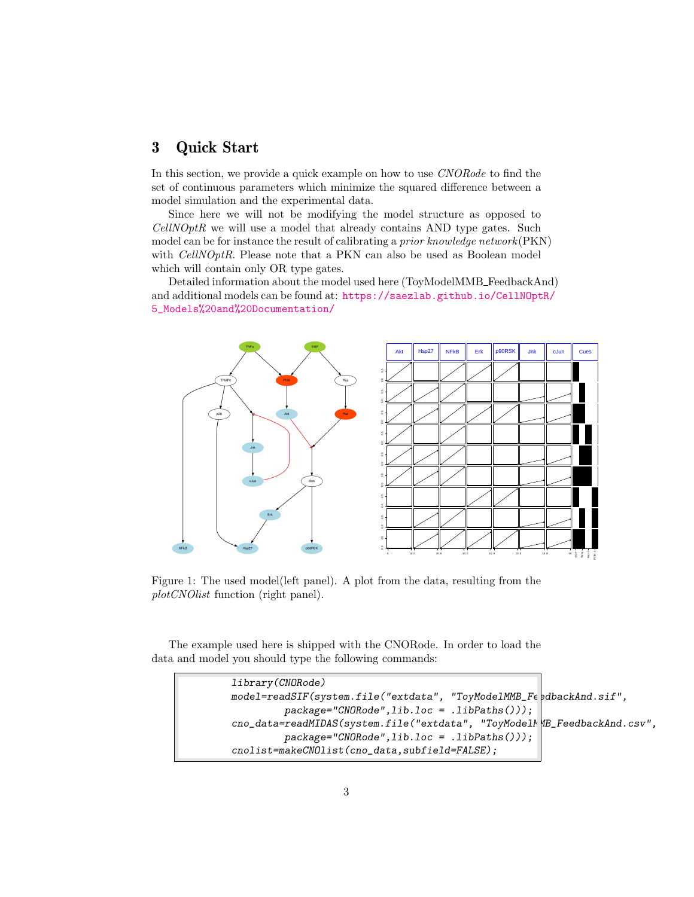# <span id="page-2-0"></span>3 Quick Start

In this section, we provide a quick example on how to use CNORode to find the set of continuous parameters which minimize the squared difference between a model simulation and the experimental data.

Since here we will not be modifying the model structure as opposed to  $CellNOptR$  we will use a model that already contains AND type gates. Such model can be for instance the result of calibrating a prior knowledge network(PKN) with CellNOptR. Please note that a PKN can also be used as Boolean model which will contain only OR type gates.

Detailed information about the model used here (ToyModelMMB\_FeedbackAnd) and additional models can be found at: [https://saezlab.github.io/CellNOpt](https://saezlab.github.io/CellNOptR/5_Models%20and%20Documentation/)R/ [5\\_Models%20and%20Documentation/](https://saezlab.github.io/CellNOptR/5_Models%20and%20Documentation/)



Figure 1: The used model(left panel). A plot from the data, resulting from the plotCNOlist function (right panel).

The example used here is shipped with the CNORode. In order to load the data and model you should type the following commands:

```
library(CNORode)
model=readSIF(system.file("extdata", "ToyModelMMB_FeedbackAnd.sif",
         package="CNORode",lib.loc = .libPaths()));
cno_data=readMIDAS(system.file("extdata", "ToyModelMMB_FeedbackAnd.csv",
         package="CNORode",lib.loc = .libPaths()));
cnolist=makeCNOlist(cno_data,subfield=FALSE);
```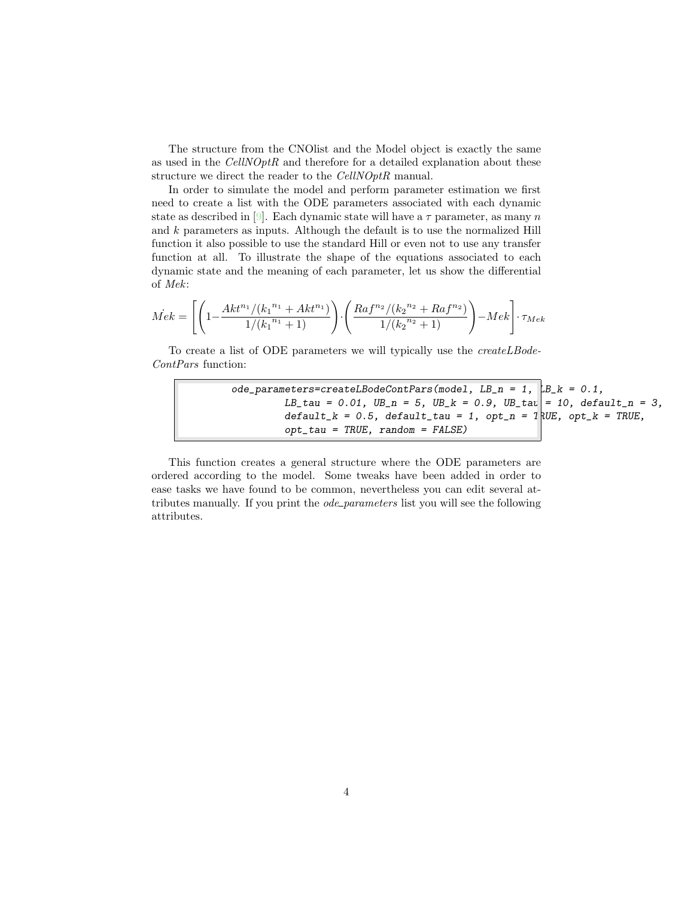The structure from the CNOlist and the Model object is exactly the same as used in the CellNOptR and therefore for a detailed explanation about these structure we direct the reader to the CellNOptR manual.

In order to simulate the model and perform parameter estimation we first need to create a list with the ODE parameters associated with each dynamic state as described in [\[9\]](#page-12-1). Each dynamic state will have a  $\tau$  parameter, as many n and k parameters as inputs. Although the default is to use the normalized Hill function it also possible to use the standard Hill or even not to use any transfer function at all. To illustrate the shape of the equations associated to each dynamic state and the meaning of each parameter, let us show the differential of Mek:

$$
\dot{M}ek = \left[ \left( 1 - \frac{Akt^{n_1}/(k_1^{n_1} + Akt^{n_1})}{1/(k_1^{n_1} + 1)} \right) \cdot \left( \frac{Raf^{n_2}/(k_2^{n_2} + Raf^{n_2})}{1/(k_2^{n_2} + 1)} \right) - Mek \right] \cdot \tau_{Mek}
$$

To create a list of ODE parameters we will typically use the createLBode-ContPars function:

ode\_parameters=createLBodeContParts(model, LB\_n = 1, LB\_k = 0.1,  
LB\_tau = 0.01, UB\_n = 5, UB\_k = 0.9, UB\_tau = 10, default\_n = 3,  
default\_k = 0.5, default\_tau = 1, opt\_n = 1
$$
RLE
$$
, opt\_k = TRUE,  
opt\_tau = TRUE, random = FALSE)

This function creates a general structure where the ODE parameters are ordered according to the model. Some tweaks have been added in order to ease tasks we have found to be common, nevertheless you can edit several attributes manually. If you print the *ode\_parameters* list you will see the following attributes.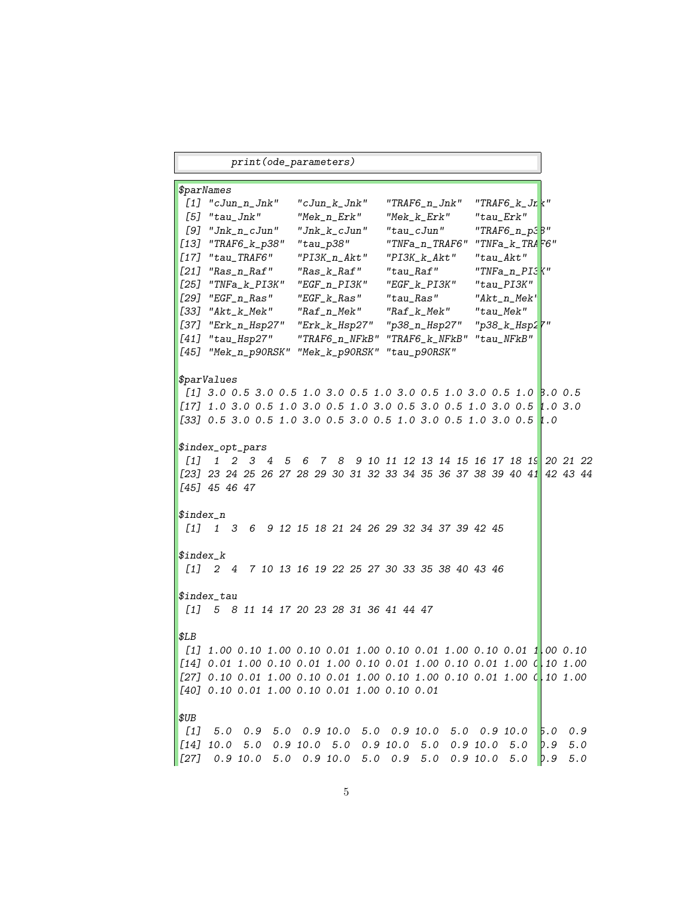| print(ode_parameters)                                                                                                  |            |  |  |
|------------------------------------------------------------------------------------------------------------------------|------------|--|--|
| \$parNames                                                                                                             |            |  |  |
| [1]<br>"cJun_n_Jnk"<br>"TRAF6_ $k$ _Jr $k$ "<br>"cJun_k_Jnk"<br>"TRAF6_n_Jnk"                                          |            |  |  |
| [5]<br>$"tau\_Jnk"$<br>"Mek_n_Erk"<br>$"tau_T$<br>"Mek_k_Erk"                                                          |            |  |  |
| $[9]$ "Jnk_n_cJun"<br>"TRAF6_ $n_p$ 3 $\beta$ "<br>$''Jnk_k_cJun''$<br>$"tau\_cJun"$                                   |            |  |  |
| $[13]$ "TRAF6_k_p38"<br>$"tau_p38"$<br>"TNFa_n_TRAF6" "TNFa_k_TRAF6"                                                   |            |  |  |
| $[17]$ "tau_TRAF6"<br>$"PI3K_n_Akt"$<br>"PI3K_k_Akt"<br>$"tau_A$ kt"                                                   |            |  |  |
| $[21]$ " ${\tt Ras\_n\_Raf}$ "<br>$^{\prime\prime}$ Ras_k_Raf $^{\prime\prime}$<br>$"TNFa_n_PISK"$<br>$"tau_R$ af"     |            |  |  |
| [25] "TNFa_k_PI3K"<br>"EGF_n_PI3K"<br>$"EGF\_k\_PI3K"$<br>$"tau_P I3K"$                                                |            |  |  |
| $[29]$ "EGF_n_Ras"<br>$"tau_R$ as"<br>$"EGF\_k\_Ras\,"$<br>$"Akt_n_M$<br>$[33]$ " $\texttt{Akt\_k\_Mek}$ "<br>$"tau_M$ |            |  |  |
| "Raf_n_Mek" "Raf_k_Mek"<br>[37] "Erk_n_Hsp27"<br>"Erk_k_Hsp27" "p38_n_Hsp27" "p38_k_Hsp27"                             |            |  |  |
| [41] "tau_Hsp27" "TRAF6_n_NFkB" "TRAF6_k_NFkB" "tau_NFkB"                                                              |            |  |  |
| [45] "Mek_n_p90RSK" "Mek_k_p90RSK" "tau_p90RSK"                                                                        |            |  |  |
|                                                                                                                        |            |  |  |
| \$parValues                                                                                                            |            |  |  |
| [1] 3.0 0.5 3.0 0.5 1.0 3.0 0.5 1.0 3.0 0.5 1.0 3.0 0.5 1.0 3.0 0.5                                                    |            |  |  |
| [17] 1.0 3.0 0.5 1.0 3.0 0.5 1.0 3.0 0.5 3.0 0.5 1.0 3.0 0.5 $\sharp$ .0 3.0                                           |            |  |  |
| [33] 0.5 3.0 0.5 1.0 3.0 0.5 3.0 0.5 1.0 3.0 0.5 1.0 3.0 0.5 $\mu$ .0                                                  |            |  |  |
| \$index_opt_pars                                                                                                       |            |  |  |
| [1] 1 2 3 4 5 6 7 8 9 10 11 12 13 14 15 16 17 18 19 20 21 22                                                           |            |  |  |
| [23] 23 24 25 26 27 28 29 30 31 32 33 34 35 36 37 38 39 40 41 42 43 44                                                 |            |  |  |
| $[45]$ 45 46 47                                                                                                        |            |  |  |
|                                                                                                                        |            |  |  |
| $$index_n$<br>[1] 1 3 6 9 12 15 18 21 24 26 29 32 34 37 39 42 45                                                       |            |  |  |
|                                                                                                                        |            |  |  |
| $$index_k$                                                                                                             |            |  |  |
| [1] 2 4 7 10 13 16 19 22 25 27 30 33 35 38 40 43 46                                                                    |            |  |  |
|                                                                                                                        |            |  |  |
| \$index_tau                                                                                                            |            |  |  |
| [1] 5 8 11 14 17 20 23 28 31 36 41 44 47                                                                               |            |  |  |
|                                                                                                                        |            |  |  |
| \$LB                                                                                                                   |            |  |  |
| [1] 1.00 0.10 1.00 0.10 0.01 1.00 0.10 0.01 1.00 0.10 0.01 1.00 0.10                                                   |            |  |  |
| [14] 0.01 1.00 0.10 0.01 1.00 0.10 0.01 1.00 0.10 0.01 1.00 0.10 1.00                                                  |            |  |  |
| [27] 0.10 0.01 1.00 0.10 0.01 1.00 0.10 1.00 0.10 0.01 1.00 $(10 1.00$                                                 |            |  |  |
| [40] 0.10 0.01 1.00 0.10 0.01 1.00 0.10 0.01                                                                           |            |  |  |
|                                                                                                                        |            |  |  |
| \$UB                                                                                                                   |            |  |  |
| $[1]$ 5.0 0.9 5.0 0.9 10.0 5.0 0.9 10.0 5.0 0.9 10.0                                                                   | 5.0<br>0.9 |  |  |
| $[14]$ 10.0 5.0 0.9 10.0 5.0 0.9 10.0 5.0 0.9 10.0 5.0                                                                 | b.9<br>5.0 |  |  |
| 0.9 10.0<br>[27]<br>$0.9$ 10.0<br>5.0 0.9 10.0<br>5.0 0.9 5.0<br>$5.0\,$                                               | b.9<br>5.0 |  |  |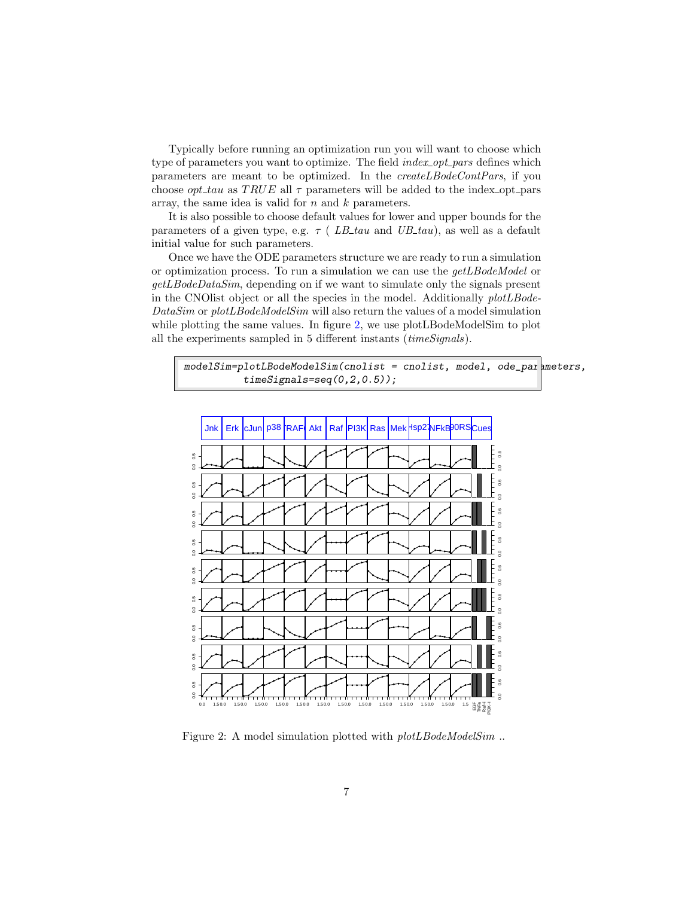Typically before running an optimization run you will want to choose which type of parameters you want to optimize. The field *index\_opt\_pars* defines which parameters are meant to be optimized. In the createLBodeContPars, if you choose  $opt\_tau$  as  $TRUE$  all  $\tau$  parameters will be added to the index\_opt\_pars array, the same idea is valid for  $n$  and  $k$  parameters.

It is also possible to choose default values for lower and upper bounds for the parameters of a given type, e.g.  $\tau$  (*LB\_tau* and *UB\_tau*), as well as a default initial value for such parameters.

Once we have the ODE parameters structure we are ready to run a simulation or optimization process. To run a simulation we can use the getLBodeModel or getLBodeDataSim, depending on if we want to simulate only the signals present in the CNOlist object or all the species in the model. Additionally plotLBode-DataSim or plotLBodeModelSim will also return the values of a model simulation while plotting the same values. In figure [2,](#page-6-0) we use plotLBodeModelSim to plot all the experiments sampled in 5 different instants (timeSignals).





<span id="page-6-0"></span>Figure 2: A model simulation plotted with  $plotLBodeModelSim$ ...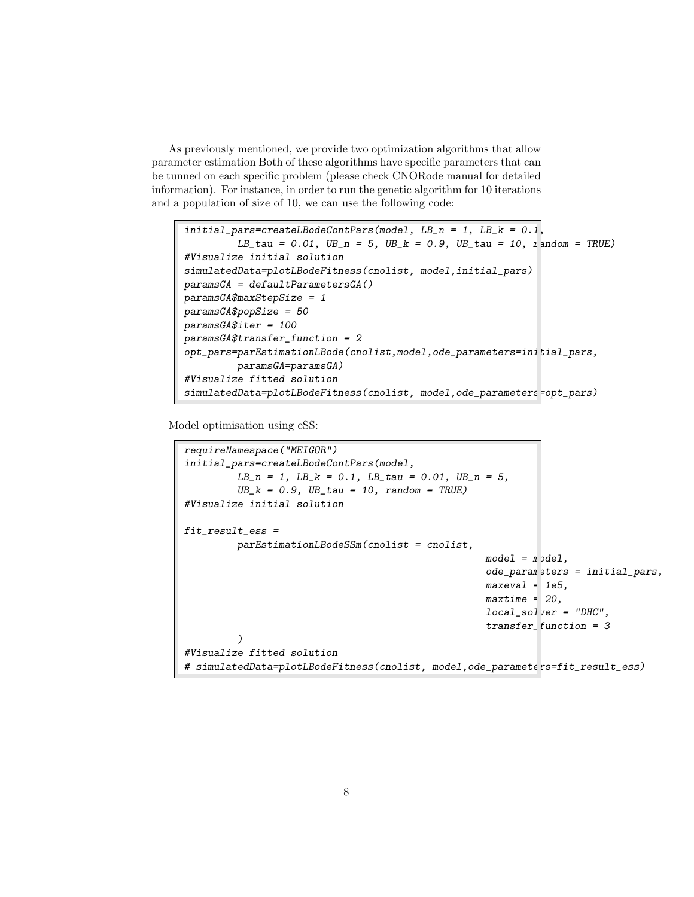As previously mentioned, we provide two optimization algorithms that allow parameter estimation Both of these algorithms have specific parameters that can be tunned on each specific problem (please check CNORode manual for detailed information). For instance, in order to run the genetic algorithm for 10 iterations and a population of size of 10, we can use the following code:

```
initial\_parsecreateBodeContParse(model, LB_n = 1, LB_k = 0.1)LB\_tau = 0.01, UB\_n = 5, UB\_k = 0.9, UB\_tau = 10, r \text{ and } om = TRUE)
#Visualize initial solution
simulatedData=plotLBodeFitness(cnolist, model,initial_pars)
paramsGA = defaultParametersGA()paramsGA$maxStepSize = 1
paramsGA$popSize = 50
paramsGA$iter = 100
paramsGA$transfer_function = 2
opt_pars=parEstimationLBode(cnolist,model,ode_parameters=initial_pars,
         paramsGA=paramsGA)
#Visualize fitted solution
simulatedData=plotLBodeFitness(cnolist, model,ode_parameters=opt_pars)
```
Model optimisation using eSS:

```
requireNamespace("MEIGOR")
initial_pars=createLBodeContPars(model,
         LB_n = 1, LB_k = 0.1, LB_tau = 0.01, UB_n = 5,
         UB_k = 0.9, UB_t = 10, random = TRUE)
#Visualize initial solution
fit\_result\_ess =
         parEstimationLBodeSSm(cnolist = cnolist,
                                                     model = n pde1,
                                                     ode\_param eters = initial\_pars,
                                                     maxeval = |1e5,maxtime = 20,
                                                     local\_sol ver = "DHC",transfer_{\text{function}} = 3)
#Visualize fitted solution
# simulatedData=plotLBodeFitness(cnolist, model,ode_parameters=fit_result_ess)
```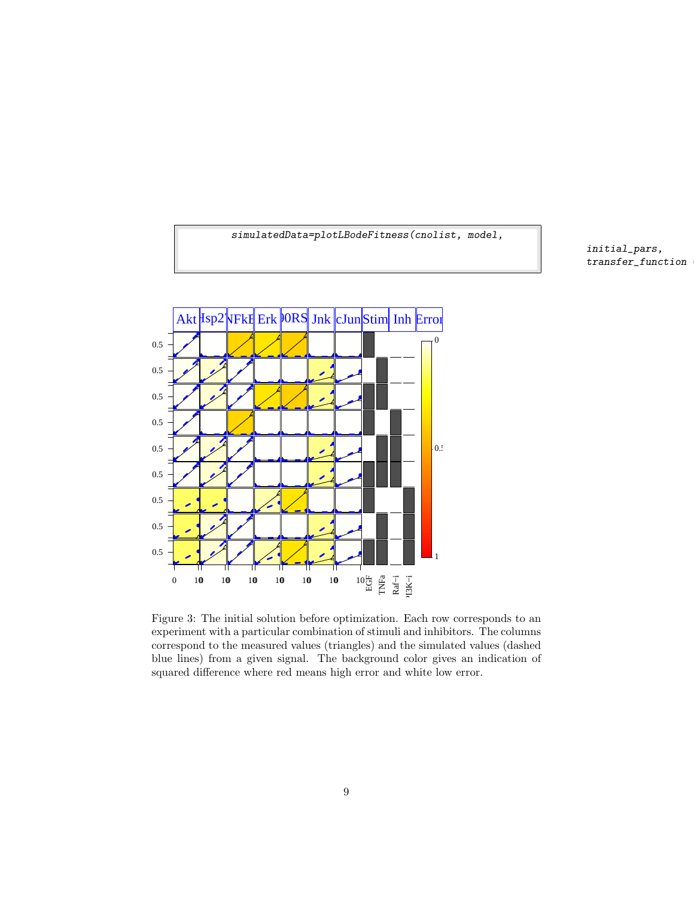

initial\_pars,  $transfer\_function$ 



Figure 3: The initial solution before optimization. Each row corresponds to an experiment with a particular combination of stimuli and inhibitors. The columns correspond to the measured values (triangles) and the simulated values (dashed blue lines) from a given signal. The background color gives an indication of squared difference where red means high error and white low error.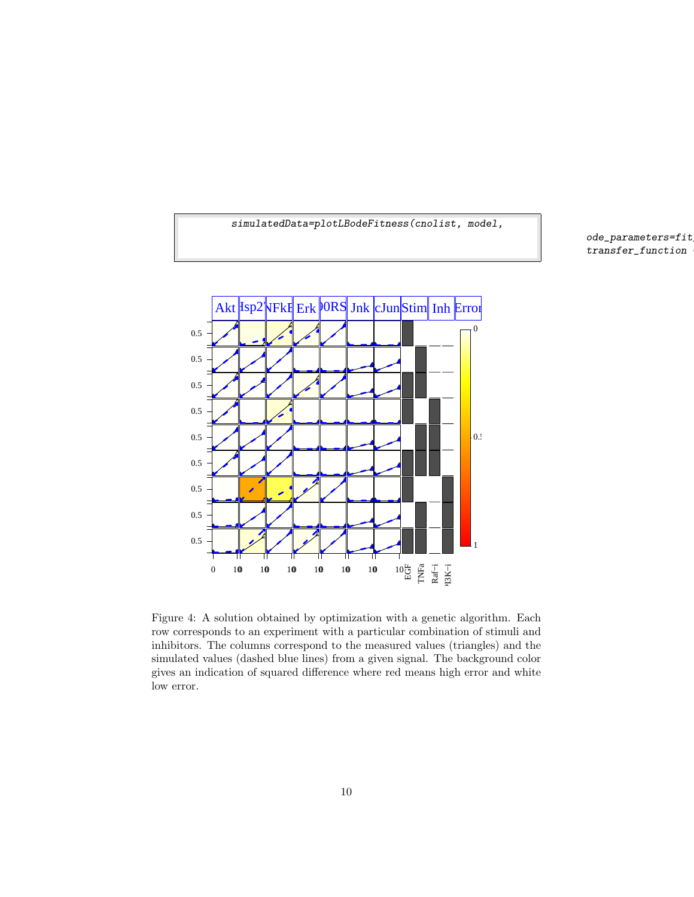simulatedData=plotLBodeFitness(cnolist, model,

 $ode\_parameters=fit$  $transfer\_function$ 



Figure 4: A solution obtained by optimization with a genetic algorithm. Each row corresponds to an experiment with a particular combination of stimuli and inhibitors. The columns correspond to the measured values (triangles) and the simulated values (dashed blue lines) from a given signal. The background color gives an indication of squared difference where red means high error and white low error.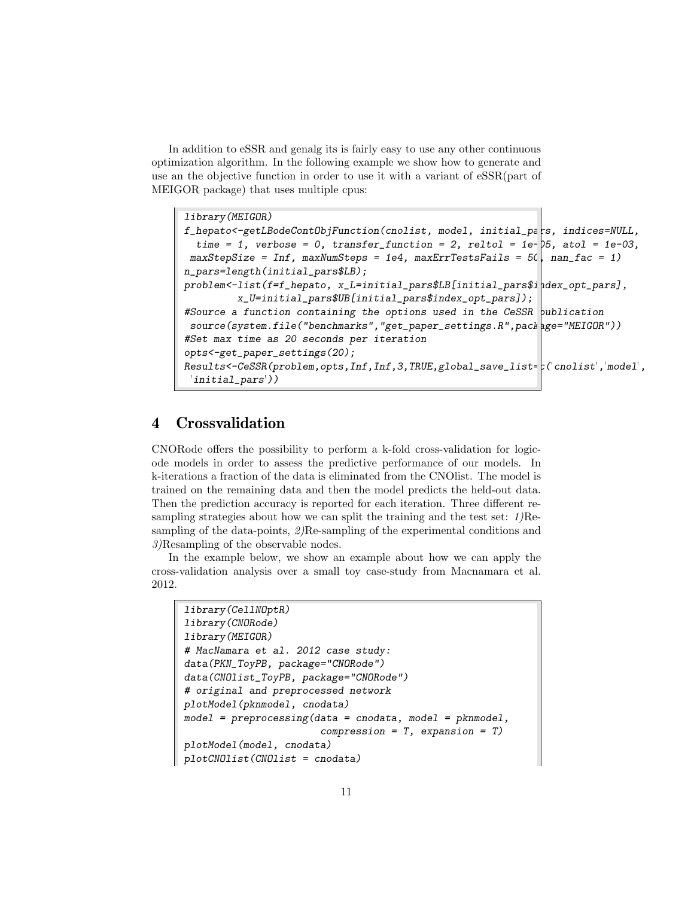In addition to eSSR and genalg its is fairly easy to use any other continuous optimization algorithm. In the following example we show how to generate and use an the objective function in order to use it with a variant of eSSR(part of MEIGOR package) that uses multiple cpus:

```
library(MEIGOR)
f_hepato<-getLBodeContObjFunction(cnolist, model, initial_pars, indices=NULL,
  time = 1, verbose = 0, transfer_function = 2, reltol = 1e-\beta5, atol = 1e-03,
maxStepSize = Inf, maxNumSteps = 1e4, maxErrTestsFalse = 5(, nan\_fac = 1)n_pars=length(initial_pars$LB);
problem<-list(f=f_hepato, x_L=initial_pars$LB[initial_pars$index_opt_pars],
         x_U=initial_pars$UB[initial_pars$index_opt_pars]);
#Source a function containing the options used in the CeSSR publication
source(system.file("benchmarks","get_paper_settings.R",package="MEIGOR"))
#Set max time as 20 seconds per iteration
opts<-get_paper_settings(20);
Results<-CeSSR(problem,opts,Inf,Inf,3,TRUE,global_save_list=c('cnolist','model',
 'initial_pars'))
```
## <span id="page-10-0"></span>4 Crossvalidation

CNORode offers the possibility to perform a k-fold cross-validation for logicode models in order to assess the predictive performance of our models. In k-iterations a fraction of the data is eliminated from the CNOlist. The model is trained on the remaining data and then the model predicts the held-out data. Then the prediction accuracy is reported for each iteration. Three different resampling strategies about how we can split the training and the test set: 1)Resampling of the data-points, 2)Re-sampling of the experimental conditions and 3)Resampling of the observable nodes.

In the example below, we show an example about how we can apply the cross-validation analysis over a small toy case-study from Macnamara et al. 2012.

```
library(CellNOptR)
library(CNORode)
library(MEIGOR)
# MacNamara et al. 2012 case study:
data(PKN_ToyPB, package="CNORode")
data(CNOlist_ToyPB, package="CNORode")
# original and preprocessed network
plotModel(pknmodel, cnodata)
model = preprocessing(data = cnodata, model = pknmodel,
                       compression = T, expansion = T)
plotModel(model, cnodata)
plotCNOlist(CNOlist = cnodata)
```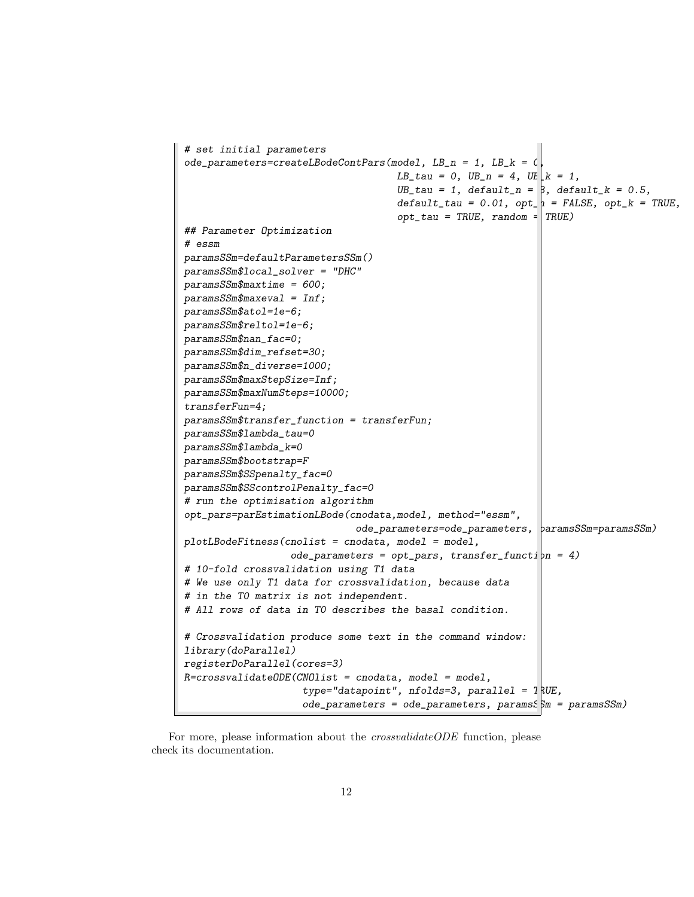```
# set initial parameters
ode_parameters=createLBodeContPars(model, LB\_n = 1, LB\_k = 0LB\_tau = 0, UB\_n = 4, UE\_k = 1,
                                     UB\_tau = 1, default_n = \beta, default_k = 0.5,
                                    default\_tau = 0.01, opt_p = FALSE, opt_k = TRUE,
                                     opt\_tau = TRUE, random = TRUE)
## Parameter Optimization
# essm
paramsSSm=defaultParametersSSm()
paramsSSm$local_solver = "DHC"
paramsSSm$maxtime = 600;
paramsSSm$maxeval = Inf;
paramsSSm$atol=1e-6;
paramsSSm$reltol=1e-6;
paramsSSm$nan_fac=0;
paramsSSm$dim_refset=30;
paramsSSm$n_diverse=1000;
paramsSSm$maxStepSize=Inf;
paramsSSm$maxNumSteps=10000;
transferFun=4;
paramsSSm$transfer_function = transferFun;
paramsSSm$lambda_tau=0
paramsSSm$lambda_k=0
paramsSSm$bootstrap=F
paramsSSm$SSpenalty_fac=0
paramsSSm$SScontrolPenalty_fac=0
# run the optimisation algorithm
opt_pars=parEstimationLBode(cnodata,model, method="essm",
                             ode_parameters=ode_parameters, paramsSSm=paramsSSm)
plotLBodeFitness(cnolist = cnodata, model = model,
                  ode\_parameters = opt\_pars, transfer_function = 4)
# 10-fold crossvalidation using T1 data
# We use only T1 data for crossvalidation, because data
# in the T0 matrix is not independent.
# All rows of data in T0 describes the basal condition.
# Crossvalidation produce some text in the command window:
library(doParallel)
registerDoParallel(cores=3)
R = crossvalidate ODE (CNOlist = cnodata, model = model,type="datapoint", nfolds=3, parallel = 1 RUE,
                    ode_parameters = ode_parameters, paramsSSm = paramsSSm)
```
For more, please information about the *crossvalidateODE* function, please check its documentation.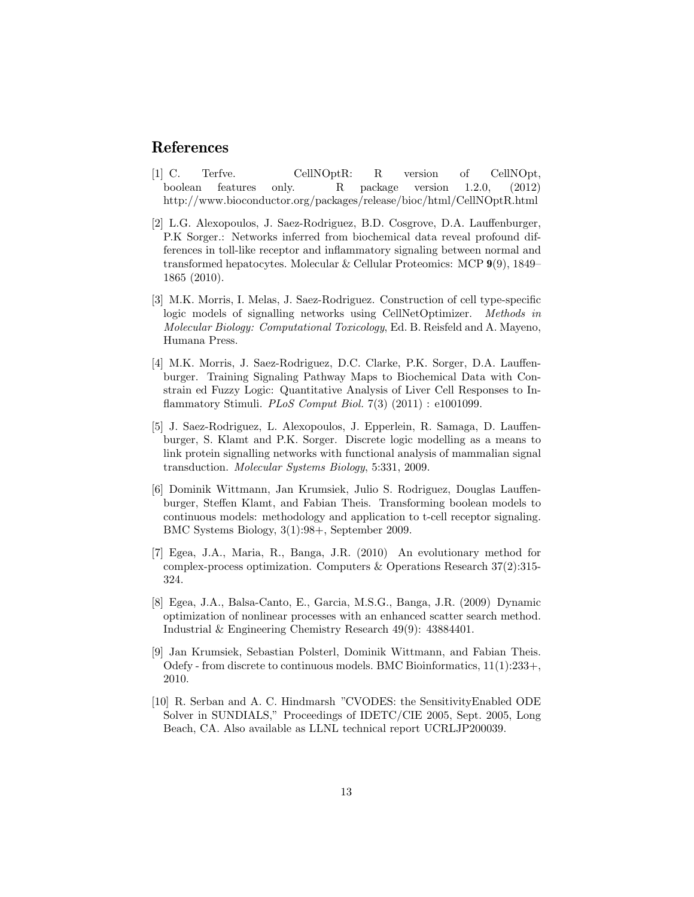#### References

- <span id="page-12-0"></span>[1] C. Terfve. CellNOptR: R version of CellNOpt, boolean features only. R package version 1.2.0, (2012) http://www.bioconductor.org/packages/release/bioc/html/CellNOptR.html
- [2] L.G. Alexopoulos, J. Saez-Rodriguez, B.D. Cosgrove, D.A. Lauffenburger, P.K Sorger.: Networks inferred from biochemical data reveal profound differences in toll-like receptor and inflammatory signaling between normal and transformed hepatocytes. Molecular & Cellular Proteomics: MCP 9(9), 1849– 1865 (2010).
- [3] M.K. Morris, I. Melas, J. Saez-Rodriguez. Construction of cell type-specific logic models of signalling networks using CellNetOptimizer. Methods in Molecular Biology: Computational Toxicology, Ed. B. Reisfeld and A. Mayeno, Humana Press.
- [4] M.K. Morris, J. Saez-Rodriguez, D.C. Clarke, P.K. Sorger, D.A. Lauffenburger. Training Signaling Pathway Maps to Biochemical Data with Constrain ed Fuzzy Logic: Quantitative Analysis of Liver Cell Responses to Inflammatory Stimuli. *PLoS Comput Biol.*  $7(3)$   $(2011)$ :  $e1001099$ .
- [5] J. Saez-Rodriguez, L. Alexopoulos, J. Epperlein, R. Samaga, D. Lauffenburger, S. Klamt and P.K. Sorger. Discrete logic modelling as a means to link protein signalling networks with functional analysis of mammalian signal transduction. Molecular Systems Biology, 5:331, 2009.
- <span id="page-12-2"></span>[6] Dominik Wittmann, Jan Krumsiek, Julio S. Rodriguez, Douglas Lauffenburger, Steffen Klamt, and Fabian Theis. Transforming boolean models to continuous models: methodology and application to t-cell receptor signaling. BMC Systems Biology, 3(1):98+, September 2009.
- <span id="page-12-3"></span>[7] Egea, J.A., Maria, R., Banga, J.R. (2010) An evolutionary method for complex-process optimization. Computers & Operations Research 37(2):315- 324.
- [8] Egea, J.A., Balsa-Canto, E., Garcia, M.S.G., Banga, J.R. (2009) Dynamic optimization of nonlinear processes with an enhanced scatter search method. Industrial & Engineering Chemistry Research 49(9): 43884401.
- <span id="page-12-1"></span>[9] Jan Krumsiek, Sebastian Polsterl, Dominik Wittmann, and Fabian Theis. Odefy - from discrete to continuous models. BMC Bioinformatics, 11(1):233+, 2010.
- <span id="page-12-4"></span>[10] R. Serban and A. C. Hindmarsh "CVODES: the SensitivityEnabled ODE Solver in SUNDIALS," Proceedings of IDETC/CIE 2005, Sept. 2005, Long Beach, CA. Also available as LLNL technical report UCRLJP200039.